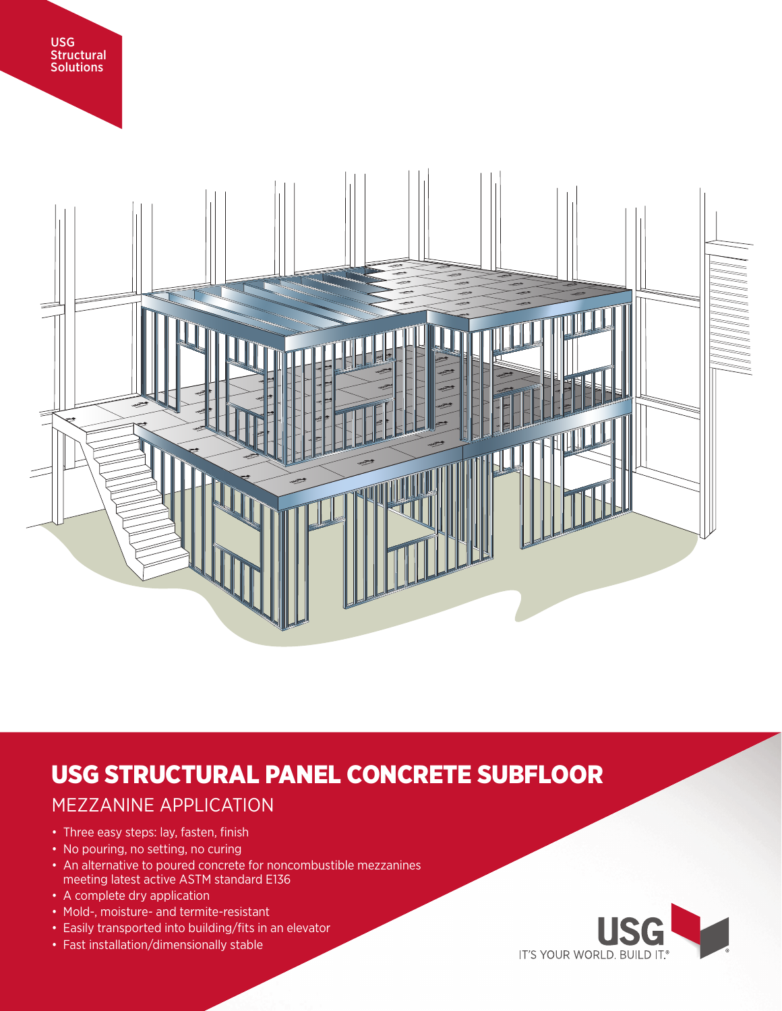



# USG STRUCTURAL PANEL CONCRETE SUBFLOOR

# MEZZANINE APPLICATION

- Three easy steps: lay, fasten, finish
- No pouring, no setting, no curing
- An alternative to poured concrete for noncombustible mezzanines meeting latest active ASTM standard E136
- A complete dry application
- Mold-, moisture- and termite-resistant
- Easily transported into building/fits in an elevator
- Fast installation/dimensionally stable